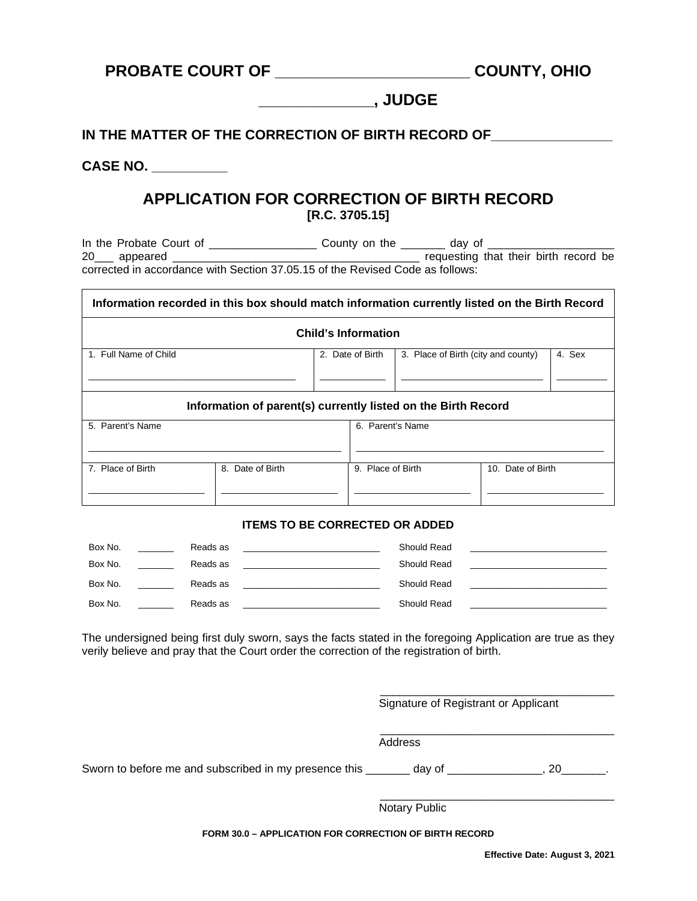# **PROBATE COURT OF \_\_\_\_\_\_\_\_\_\_\_\_\_\_\_\_\_\_\_\_\_\_ COUNTY, OHIO**

## **\_\_\_\_\_\_\_\_\_\_\_\_\_, JUDGE**

**IN THE MATTER OF THE CORRECTION OF BIRTH RECORD OF\_\_\_\_\_\_\_\_\_\_\_\_\_\_\_\_**

**CASE NO. \_\_\_\_\_\_\_\_\_\_**

#### **APPLICATION FOR CORRECTION OF BIRTH RECORD [R.C. 3705.15]**

In the Probate Court of \_\_\_\_\_\_\_\_\_\_\_\_\_\_\_\_\_ County on the \_\_\_\_\_\_\_ day of \_\_\_\_\_\_\_\_\_\_\_\_\_\_\_\_\_\_\_\_ 20\_\_\_ appeared \_\_\_\_\_\_\_\_\_\_\_\_\_\_\_\_\_\_\_\_\_\_\_\_\_\_\_\_\_\_\_\_\_\_\_\_\_\_\_ requesting that their birth record be corrected in accordance with Section 37.05.15 of the Revised Code as follows:

| Information recorded in this box should match information currently listed on the Birth Record |                     |                  |                                        |                                     |  |        |  |  |  |
|------------------------------------------------------------------------------------------------|---------------------|------------------|----------------------------------------|-------------------------------------|--|--------|--|--|--|
| <b>Child's Information</b>                                                                     |                     |                  |                                        |                                     |  |        |  |  |  |
| 1. Full Name of Child                                                                          |                     | 2. Date of Birth |                                        | 3. Place of Birth (city and county) |  | 4. Sex |  |  |  |
| Information of parent(s) currently listed on the Birth Record                                  |                     |                  |                                        |                                     |  |        |  |  |  |
| 5. Parent's Name                                                                               |                     |                  |                                        | 6. Parent's Name                    |  |        |  |  |  |
| 7. Place of Birth                                                                              | Date of Birth<br>8. |                  | 9. Place of Birth<br>10. Date of Birth |                                     |  |        |  |  |  |

#### **ITEMS TO BE CORRECTED OR ADDED**

| Box No. | Reads as | Should Read |  |
|---------|----------|-------------|--|
| Box No. | Reads as | Should Read |  |
| Box No. | Reads as | Should Read |  |
| Box No. | Reads as | Should Read |  |

The undersigned being first duly sworn, says the facts stated in the foregoing Application are true as they verily believe and pray that the Court order the correction of the registration of birth.

Signature of Registrant or Applicant

\_\_\_\_\_\_\_\_\_\_\_\_\_\_\_\_\_\_\_\_\_\_\_\_\_\_\_\_\_\_\_\_\_\_\_\_\_

\_\_\_\_\_\_\_\_\_\_\_\_\_\_\_\_\_\_\_\_\_\_\_\_\_\_\_\_\_\_\_\_\_\_\_\_\_

Address

Sworn to before me and subscribed in my presence this \_\_\_\_\_\_\_ day of \_\_\_\_\_\_\_\_\_\_\_\_, 20\_

 $\_$ Notary Public

**FORM 30.0 – APPLICATION FOR CORRECTION OF BIRTH RECORD**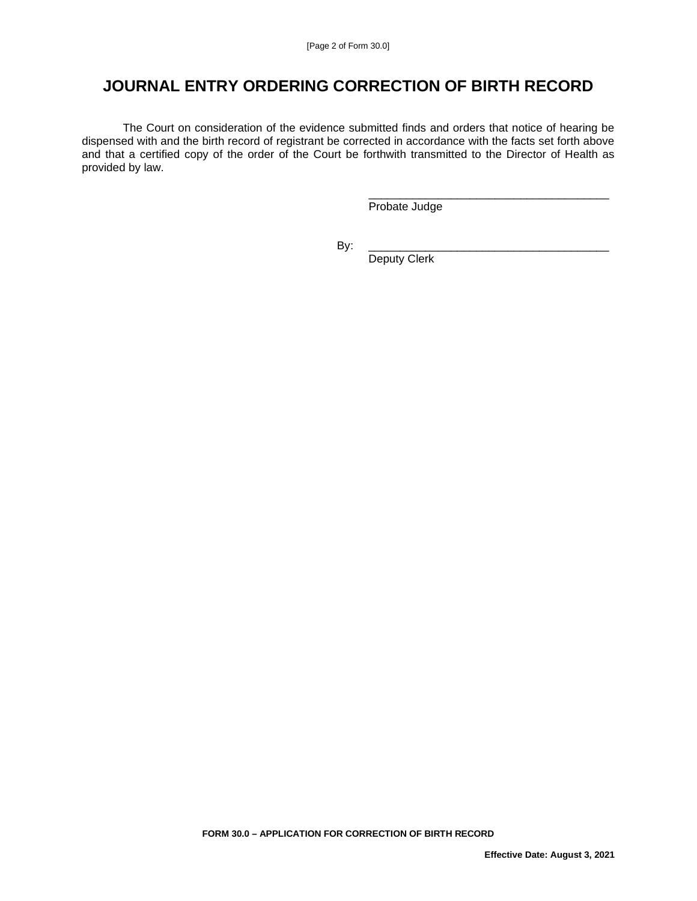## **JOURNAL ENTRY ORDERING CORRECTION OF BIRTH RECORD**

The Court on consideration of the evidence submitted finds and orders that notice of hearing be dispensed with and the birth record of registrant be corrected in accordance with the facts set forth above and that a certified copy of the order of the Court be forthwith transmitted to the Director of Health as provided by law.

 \_\_\_\_\_\_\_\_\_\_\_\_\_\_\_\_\_\_\_\_\_\_\_\_\_\_\_\_\_\_\_\_\_\_\_\_\_\_ Probate Judge

By: \_\_\_\_\_\_\_\_\_\_\_\_\_\_\_\_\_\_\_\_\_\_\_\_\_\_\_\_\_\_\_\_\_\_\_\_\_\_

Deputy Clerk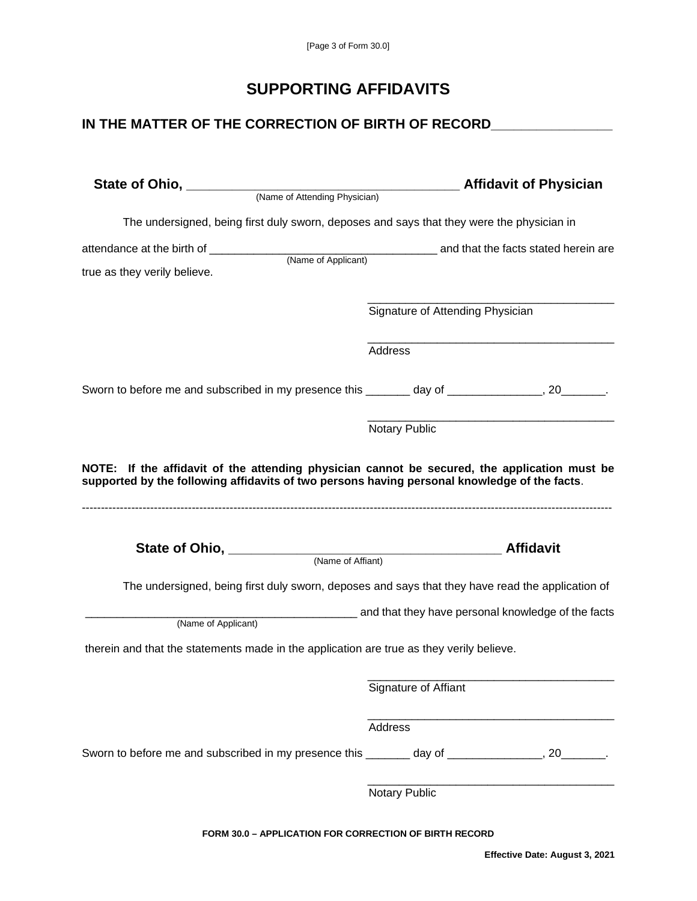## **SUPPORTING AFFIDAVITS**

### **IN THE MATTER OF THE CORRECTION OF BIRTH OF RECORD\_\_\_\_\_\_\_\_\_\_\_\_\_\_\_\_**

| State of Ohio, (Name of Attending Physician)                                                   | <b>National Affidavit of Physician</b>                                                           |
|------------------------------------------------------------------------------------------------|--------------------------------------------------------------------------------------------------|
| The undersigned, being first duly sworn, deposes and says that they were the physician in      |                                                                                                  |
| true as they verily believe.                                                                   |                                                                                                  |
|                                                                                                | Signature of Attending Physician                                                                 |
|                                                                                                | Address                                                                                          |
| Sworn to before me and subscribed in my presence this ______ day of _____________, 20_______.  |                                                                                                  |
|                                                                                                | Notary Public                                                                                    |
|                                                                                                |                                                                                                  |
| (Name of Affiant)                                                                              |                                                                                                  |
|                                                                                                | The undersigned, being first duly sworn, deposes and says that they have read the application of |
| (Name of Applicant)                                                                            |                                                                                                  |
| therein and that the statements made in the application are true as they verily believe.       | and that they have personal knowledge of the facts                                               |
|                                                                                                |                                                                                                  |
|                                                                                                | Signature of Affiant                                                                             |
|                                                                                                | Address                                                                                          |
| Sworn to before me and subscribed in my presence this _______ day of _____________, 20_______. |                                                                                                  |

**FORM 30.0 – APPLICATION FOR CORRECTION OF BIRTH RECORD**